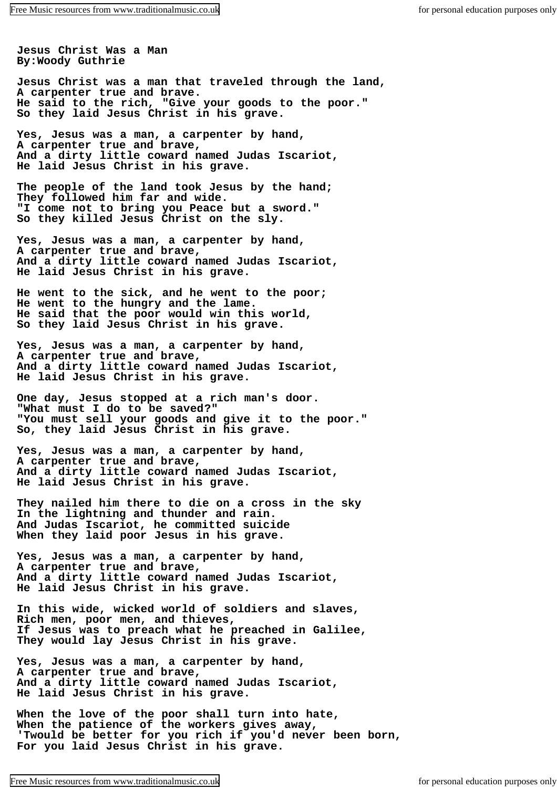**Jesus Christ Was a Man By:Woody Guthrie**

**Jesus Christ was a man that traveled through the land, A carpenter true and brave. He said to the rich, "Give your goods to the poor." So they laid Jesus Christ in his grave.**

**Yes, Jesus was a man, a carpenter by hand, A carpenter true and brave, And a dirty little coward named Judas Iscariot, He laid Jesus Christ in his grave.**

**The people of the land took Jesus by the hand; They followed him far and wide. "I come not to bring you Peace but a sword." So they killed Jesus Christ on the sly.**

**Yes, Jesus was a man, a carpenter by hand, A carpenter true and brave, And a dirty little coward named Judas Iscariot, He laid Jesus Christ in his grave.**

**He went to the sick, and he went to the poor; He went to the hungry and the lame. He said that the poor would win this world, So they laid Jesus Christ in his grave.**

**Yes, Jesus was a man, a carpenter by hand, A carpenter true and brave, And a dirty little coward named Judas Iscariot, He laid Jesus Christ in his grave.**

**One day, Jesus stopped at a rich man's door. "What must I do to be saved?" "You must sell your goods and give it to the poor." So, they laid Jesus Christ in his grave.**

**Yes, Jesus was a man, a carpenter by hand, A carpenter true and brave, And a dirty little coward named Judas Iscariot, He laid Jesus Christ in his grave.**

**They nailed him there to die on a cross in the sky In the lightning and thunder and rain. And Judas Iscariot, he committed suicide When they laid poor Jesus in his grave.**

**Yes, Jesus was a man, a carpenter by hand, A carpenter true and brave, And a dirty little coward named Judas Iscariot, He laid Jesus Christ in his grave.**

**In this wide, wicked world of soldiers and slaves, Rich men, poor men, and thieves, If Jesus was to preach what he preached in Galilee, They would lay Jesus Christ in his grave.**

**Yes, Jesus was a man, a carpenter by hand, A carpenter true and brave, And a dirty little coward named Judas Iscariot, He laid Jesus Christ in his grave.**

**When the love of the poor shall turn into hate, When the patience of the workers gives away, 'Twould be better for you rich if you'd never been born, For you laid Jesus Christ in his grave.**